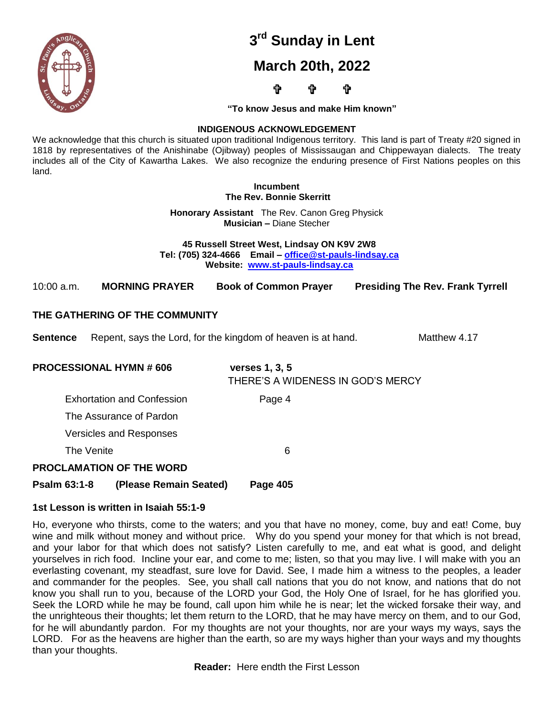

**3 rd Sunday in Lent March 20th, 2022** 

**"To know Jesus and make Him known"**

#### **INDIGENOUS ACKNOWLEDGEMENT**

We acknowledge that this church is situated upon traditional Indigenous territory. This land is part of Treaty #20 signed in 1818 by representatives of the Anishinabe (Ojibway) peoples of Mississaugan and Chippewayan dialects. The treaty includes all of the City of Kawartha Lakes. We also recognize the enduring presence of First Nations peoples on this land.

#### **Incumbent The Rev. Bonnie Skerritt**

**Honorary Assistant** The Rev. Canon Greg Physick **Musician –** Diane Stecher

 **45 Russell Street West, Lindsay ON K9V 2W8 Tel: (705) 324-4666 Email – [office@st-pauls-lindsay.ca](mailto:office@st-pauls-lindsay.ca) Website: [www.st-pauls-lindsay.ca](http://www.st-pauls-lindsay.ca/)**

10:00 a.m. **MORNING PRAYER Book of Common Prayer Presiding The Rev. Frank Tyrrell**

# **THE GATHERING OF THE COMMUNITY**

**Sentence** Repent, says the Lord, for the kingdom of heaven is at hand. Matthew 4.17

| <b>PROCESSIONAL HYMN # 606</b>    |                                | verses 1, 3, 5<br>THERE'S A WIDENESS IN GOD'S MERCY |  |
|-----------------------------------|--------------------------------|-----------------------------------------------------|--|
| <b>Exhortation and Confession</b> |                                | Page 4                                              |  |
| The Assurance of Pardon           |                                |                                                     |  |
|                                   | <b>Versicles and Responses</b> |                                                     |  |
| The Venite                        |                                | 6                                                   |  |
|                                   | PROCLAMATION OF THE WORD       |                                                     |  |
| Psalm 63:1-8                      | (Please Remain Seated)         | Page 405                                            |  |

### **1st Lesson is written in Isaiah 55:1-9**

Ho, everyone who thirsts, come to the waters; and you that have no money, come, buy and eat! Come, buy wine and milk without money and without price. Why do you spend your money for that which is not bread, and your labor for that which does not satisfy? Listen carefully to me, and eat what is good, and delight yourselves in rich food. Incline your ear, and come to me; listen, so that you may live. I will make with you an everlasting covenant, my steadfast, sure love for David. See, I made him a witness to the peoples, a leader and commander for the peoples. See, you shall call nations that you do not know, and nations that do not know you shall run to you, because of the LORD your God, the Holy One of Israel, for he has glorified you. Seek the LORD while he may be found, call upon him while he is near; let the wicked forsake their way, and the unrighteous their thoughts; let them return to the LORD, that he may have mercy on them, and to our God, for he will abundantly pardon. For my thoughts are not your thoughts, nor are your ways my ways, says the LORD. For as the heavens are higher than the earth, so are my ways higher than your ways and my thoughts than your thoughts.

**Reader:** Here endth the First Lesson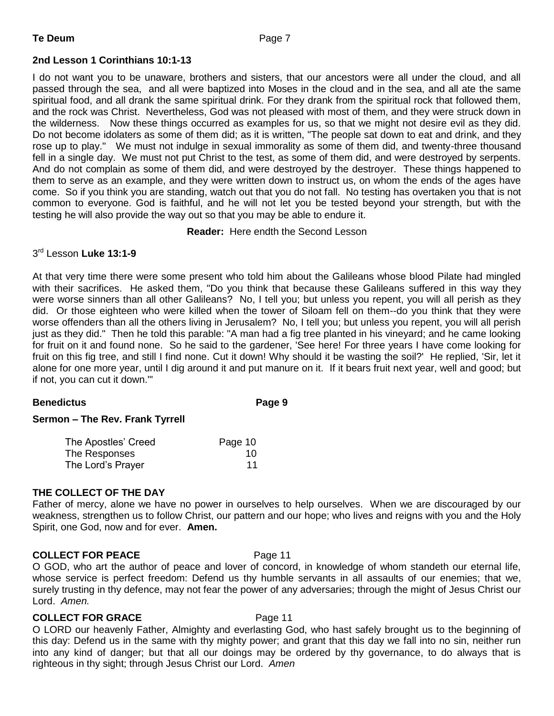# **2nd Lesson 1 Corinthians 10:1-13**

I do not want you to be unaware, brothers and sisters, that our ancestors were all under the cloud, and all passed through the sea, and all were baptized into Moses in the cloud and in the sea, and all ate the same spiritual food, and all drank the same spiritual drink. For they drank from the spiritual rock that followed them, and the rock was Christ. Nevertheless, God was not pleased with most of them, and they were struck down in the wilderness. Now these things occurred as examples for us, so that we might not desire evil as they did. Do not become idolaters as some of them did; as it is written, "The people sat down to eat and drink, and they rose up to play." We must not indulge in sexual immorality as some of them did, and twenty-three thousand fell in a single day. We must not put Christ to the test, as some of them did, and were destroyed by serpents. And do not complain as some of them did, and were destroyed by the destroyer. These things happened to them to serve as an example, and they were written down to instruct us, on whom the ends of the ages have come. So if you think you are standing, watch out that you do not fall. No testing has overtaken you that is not common to everyone. God is faithful, and he will not let you be tested beyond your strength, but with the testing he will also provide the way out so that you may be able to endure it.

**Reader:** Here endth the Second Lesson

## 3 rd Lesson **Luke 13:1-9**

At that very time there were some present who told him about the Galileans whose blood Pilate had mingled with their sacrifices. He asked them, "Do you think that because these Galileans suffered in this way they were worse sinners than all other Galileans? No, I tell you; but unless you repent, you will all perish as they did. Or those eighteen who were killed when the tower of Siloam fell on them--do you think that they were worse offenders than all the others living in Jerusalem? No, I tell you; but unless you repent, you will all perish just as they did." Then he told this parable: "A man had a fig tree planted in his vineyard; and he came looking for fruit on it and found none. So he said to the gardener, 'See here! For three years I have come looking for fruit on this fig tree, and still I find none. Cut it down! Why should it be wasting the soil?' He replied, 'Sir, let it alone for one more year, until I dig around it and put manure on it. If it bears fruit next year, well and good; but if not, you can cut it down.'"

### **Benedictus Page 9**

# **Sermon – The Rev. Frank Tyrrell**

| The Apostles' Creed | Page 10 |
|---------------------|---------|
| The Responses       | 10.     |
| The Lord's Prayer   | 11      |

### **THE COLLECT OF THE DAY**

Father of mercy, alone we have no power in ourselves to help ourselves. When we are discouraged by our weakness, strengthen us to follow Christ, our pattern and our hope; who lives and reigns with you and the Holy Spirit, one God, now and for ever. **Amen.**

### **COLLECT FOR PEACE** Page 11

O GOD, who art the author of peace and lover of concord, in knowledge of whom standeth our eternal life, whose service is perfect freedom: Defend us thy humble servants in all assaults of our enemies; that we, surely trusting in thy defence, may not fear the power of any adversaries; through the might of Jesus Christ our Lord. *Amen.*

# **COLLECT FOR GRACE** Page 11

O LORD our heavenly Father, Almighty and everlasting God, who hast safely brought us to the beginning of this day: Defend us in the same with thy mighty power; and grant that this day we fall into no sin, neither run into any kind of danger; but that all our doings may be ordered by thy governance, to do always that is righteous in thy sight; through Jesus Christ our Lord. *Amen*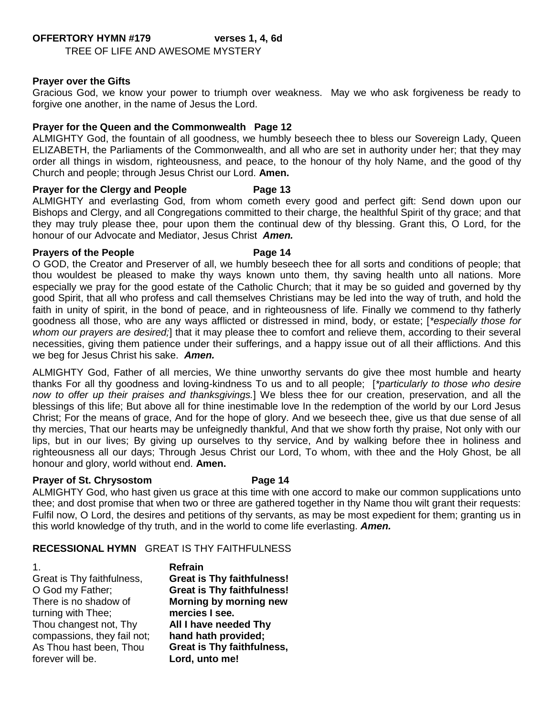# **OFFERTORY HYMN #179 verses 1, 4, 6d**

TREE OF LIFE AND AWESOME MYSTERY

#### **Prayer over the Gifts**

Gracious God, we know your power to triumph over weakness. May we who ask forgiveness be ready to forgive one another, in the name of Jesus the Lord.

### **Prayer for the Queen and the Commonwealth Page 12**

ALMIGHTY God, the fountain of all goodness, we humbly beseech thee to bless our Sovereign Lady, Queen ELIZABETH, the Parliaments of the Commonwealth, and all who are set in authority under her; that they may order all things in wisdom, righteousness, and peace, to the honour of thy holy Name, and the good of thy Church and people; through Jesus Christ our Lord. **Amen.**

#### **Prayer for the Clergy and People Page 13**

ALMIGHTY and everlasting God, from whom cometh every good and perfect gift: Send down upon our Bishops and Clergy, and all Congregations committed to their charge, the healthful Spirit of thy grace; and that they may truly please thee, pour upon them the continual dew of thy blessing. Grant this, O Lord, for the honour of our Advocate and Mediator, Jesus Christ *Amen.*

#### **Prayers of the People Page 14**

O GOD, the Creator and Preserver of all, we humbly beseech thee for all sorts and conditions of people; that thou wouldest be pleased to make thy ways known unto them, thy saving health unto all nations. More especially we pray for the good estate of the Catholic Church; that it may be so guided and governed by thy good Spirit, that all who profess and call themselves Christians may be led into the way of truth, and hold the faith in unity of spirit, in the bond of peace, and in righteousness of life. Finally we commend to thy fatherly goodness all those, who are any ways afflicted or distressed in mind, body, or estate; [*\*especially those for whom our prayers are desired;*] that it may please thee to comfort and relieve them, according to their several necessities, giving them patience under their sufferings, and a happy issue out of all their afflictions. And this we beg for Jesus Christ his sake. *Amen.*

ALMIGHTY God, Father of all mercies, We thine unworthy servants do give thee most humble and hearty thanks For all thy goodness and loving-kindness To us and to all people; [*\*particularly to those who desire now to offer up their praises and thanksgivings.*] We bless thee for our creation, preservation, and all the blessings of this life; But above all for thine inestimable love In the redemption of the world by our Lord Jesus Christ; For the means of grace, And for the hope of glory. And we beseech thee, give us that due sense of all thy mercies, That our hearts may be unfeignedly thankful, And that we show forth thy praise, Not only with our lips, but in our lives; By giving up ourselves to thy service, And by walking before thee in holiness and righteousness all our days; Through Jesus Christ our Lord, To whom, with thee and the Holy Ghost, be all honour and glory, world without end. **Amen.**

### **Prayer of St. Chrysostom Page 14**

ALMIGHTY God, who hast given us grace at this time with one accord to make our common supplications unto thee; and dost promise that when two or three are gathered together in thy Name thou wilt grant their requests: Fulfil now, O Lord, the desires and petitions of thy servants, as may be most expedient for them; granting us in this world knowledge of thy truth, and in the world to come life everlasting. *Amen.*

## **RECESSIONAL HYMN** GREAT IS THY FAITHFULNESS

| $\mathbf 1$                 | <b>Refrain</b>                    |
|-----------------------------|-----------------------------------|
| Great is Thy faithfulness,  | <b>Great is Thy faithfulness!</b> |
| O God my Father;            | <b>Great is Thy faithfulness!</b> |
| There is no shadow of       | Morning by morning new            |
| turning with Thee;          | mercies I see.                    |
| Thou changest not, Thy      | All I have needed Thy             |
| compassions, they fail not; | hand hath provided;               |
| As Thou hast been, Thou     | <b>Great is Thy faithfulness,</b> |
| forever will be.            | Lord, unto me!                    |